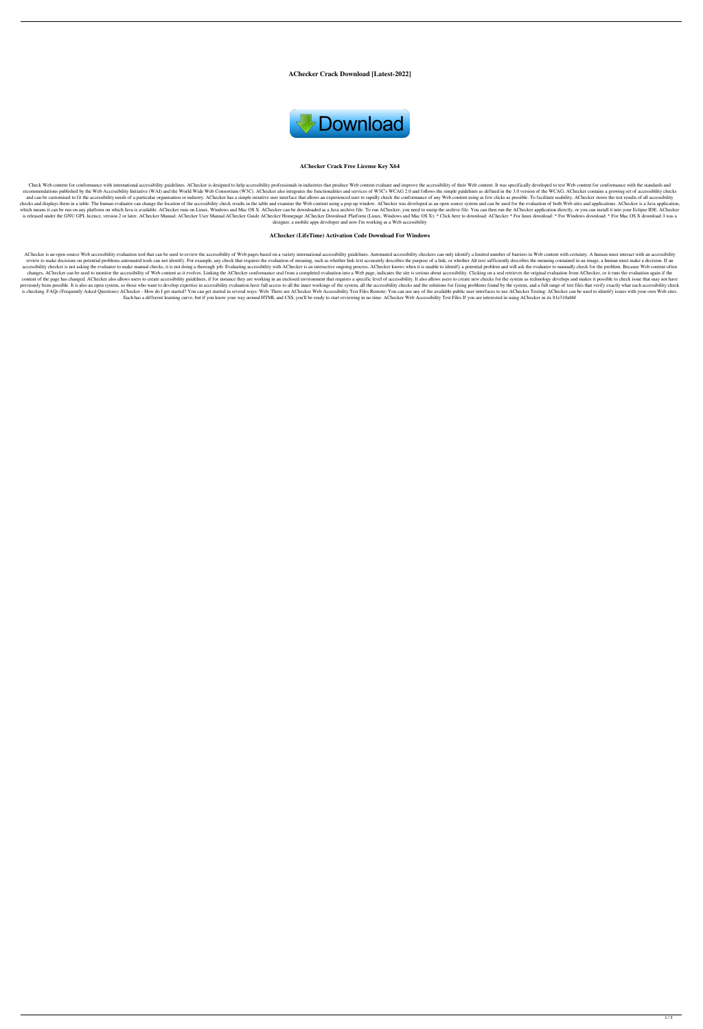**AChecker Crack Download [Latest-2022]**



#### **AChecker Crack Free License Key X64**

Check Web content for conformance with international accessibility guidelines. AChecker is designed to help accessibility professionals in industries that produce Web content evaluate and improve the accessibility of their recommendations published by the Web Accessibility Initiative (WAI) and the World Wide Web Consortium (W3C). AChecker also integrates the functionalities and services of W3C's WCAG 2.0 and follows the simple guidelines as and can be customised to fit the accessibility needs of a particular organisation or industry. AChecker has a simple intuitive user interface that allows an experienced user to rapidly check the conformance of any Web cont checks and displays them in a table. The human evaluator can change the location of the accessibility check results in the table and examine the Web content using a pop-up window. AChecker was developed as an open source s which means it can be run on any platform on which Java is available. AChecker runs on Linux, Windows and Mac OS X. AChecker can be downloaded as a Java archive file. To run AChecker, you need to unzip the archive file. Yo is released under the GNU GPL licence, version 2 or later. AChecker Manual: AChecker User Manual AChecker Guide AChecker Guide AChecker Homepage AChecker Download: Platform (Linux, Windows and Mac OS X): \* Click here to do designer, a mobile apps developer and now I'm working as a Web accessibility

#### **AChecker (LifeTime) Activation Code Download For Windows**

AChecker is an open source Web accessibility evaluation tool that can be used to review the accessibility of Web pages based on a variety international accessibility guidelines. Automated accessibility checkers can only id review to make decisions on potential problems automated tools can not identify. For example, any check that requires the evaluation of meaning, such as whether link text accurately describes the purpose of a link, or whet accessibility checker is not asking the evaluator to make manual checks, it is not doing a thorough job. Evaluating accessibility with AChecker is an interactive ongoing process. AChecker knows when it is unable to identif changes, AChecker can be used to monitor the accessibility of Web content as it evolves. Linking the AChecker conformance seal from a completed evaluation into a Web page, indicates the site is serious about accessibility. content of the page has changed. AChecker also allows users to create accessibility guidelines, if for instance they are working in an enclosed environment that requires a specific level of accessibility. It also allows us previously been possible. It is also an open system, so those who want to develop expertise in accessibility evaluation have full access to all the inner workings of the system, all the accessibility checks and the solutio is checking. FAQs (Frequently Asked Questions) AChecker - How do I get started? You can get started? You can get started in several ways: Web: There are AChecker Web Accessibility Test Files Remote: You can use any of the Each has a different learning curve, but if you know your way around HTML and CSS, you'll be ready to start reviewing in no time. AChecker Web Accessibility Test Files If you are interested in using AChecker in its 81e310a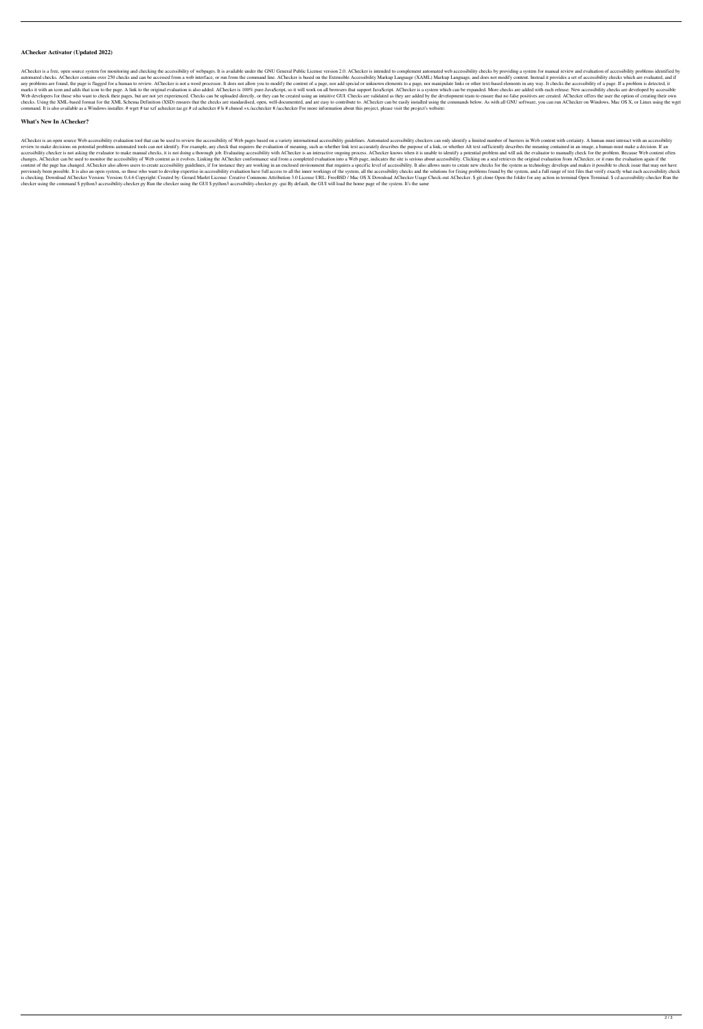## **AChecker Activator (Updated 2022)**

AChecker is a free, open source system for monitoring and checking the accessibility of webpages. It is available under the GNU General Public License version 2.0. AChecker is intended to complement automated web accessibi automated checks. AChecker contains over 250 checks and can be accessed from a web interface, or run from the command line. AChecker is based on the Extensible Accessibility Markup Language (XAML) Markup Language, and does any problems are found, the page is flagged for a human to review. AChecker is not a word processor. It does not allow you to modify the content of a page, nor add special or unknown elements to a page, nor manipulate link marks it with an icon and adds that icon to the page. A link to the original evaluation is also added. AChecker is 100% pure-JavaScript, so it will work on all browsers that support JavaScript. AChecker is a system which c Web developers for those who want to check their pages, but are not yet experienced. Checks can be uploaded directly, or they can be created using an intuitive GUI. Checks are validated as they are added by the development checks. Using the XML-based format for the XML Schema Definition (XSD) ensures that the checks are standardised, open, well-documented, and are easy to contribute to. AChecker can be easily installed using the commands bel command. It is also available as a Windows installer. # wget # tar xzf achecker.tar.gz # cd achecker # ls # chmod +x./acchecker #./acchecker For more information about this project, please visit the project's website:

## **What's New In AChecker?**

AChecker is an open source Web accessibility evaluation tool that can be used to review the accessibility of Web pages based on a variety international accessibility guidelines. Automated accessibility checkers can only id review to make decisions on potential problems automated tools can not identify. For example, any check that requires the evaluation of meaning, such as whether link text accurately describes the purpose of a link, or whet accessibility checker is not asking the evaluator to make manual checks, it is not doing a thorough job. Evaluating accessibility with AChecker is an interactive ongoing process. AChecker knows when it is unable to identif changes, AChecker can be used to monitor the accessibility of Web content as it evolves. Linking the AChecker conformance seal from a completed evaluation into a Web page, indicates the site is serious about accessibility. content of the page has changed. AChecker also allows users to create accessibility guidelines, if for instance they are working in an enclosed environment that requires a specific level of accessibility. It also allows us previously been possible. It is also an open system, so those who want to develop expertise in accessibility evaluation have full access to all the inner workings of the system, all the accessibility checks and the solutio 19 is checking. Download AChecker Version: Version: 0.4.6 Copyright: Created by: Gerard Marlet License: Creative Commons Attribution 3.0 License URL: FreeBSD / Mac OS X Download AChecker Usage Check-out AChecker. \$ git clo checker using the command \$ python3 accessibility-checker.py Run the checker using the GUI \$ python3 accessibility-checker.py -gui By default, the GUI will load the home page of the system. It's the same